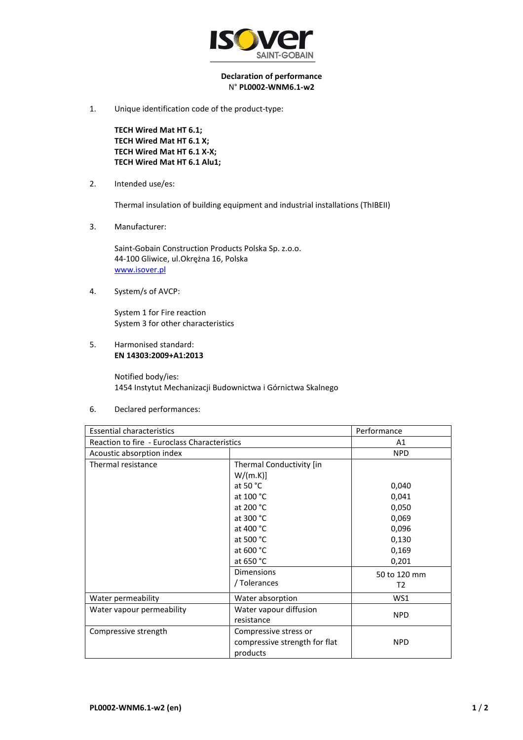

## **Declaration of performance**  N° **PL0002-WNM6.1-w2**

1. Unique identification code of the product-type:

**TECH Wired Mat HT 6.1; TECH Wired Mat HT 6.1 X; TECH Wired Mat HT 6.1 X-X; TECH Wired Mat HT 6.1 Alu1;** 

2. Intended use/es:

Thermal insulation of building equipment and industrial installations (ThIBEII)

3. Manufacturer:

Saint-Gobain Construction Products Polska Sp. z.o.o. 44-100 Gliwice, ul.Okrężna 16, Polska www.isover.pl

4. System/s of AVCP:

System 1 for Fire reaction System 3 for other characteristics

5. Harmonised standard: **EN 14303:2009+A1:2013**

> Notified body/ies: 1454 Instytut Mechanizacji Budownictwa i Górnictwa Skalnego

6. Declared performances:

| <b>Essential characteristics</b>             |                               | Performance  |
|----------------------------------------------|-------------------------------|--------------|
| Reaction to fire - Euroclass Characteristics |                               | A1           |
| Acoustic absorption index                    |                               | <b>NPD</b>   |
| Thermal resistance                           | Thermal Conductivity [in      |              |
|                                              | W/(m.K)]                      |              |
|                                              | at 50 $^{\circ}$ C            | 0,040        |
|                                              | at 100 °C                     | 0,041        |
|                                              | at 200 °C                     | 0,050        |
|                                              | at 300 °C                     | 0,069        |
|                                              | at 400 °C                     | 0,096        |
|                                              | at 500 °C                     | 0,130        |
|                                              | at 600 °C                     | 0,169        |
|                                              | at 650 °C                     | 0,201        |
|                                              | <b>Dimensions</b>             | 50 to 120 mm |
|                                              | / Tolerances                  | T2           |
| Water permeability                           | Water absorption              | WS1          |
| Water vapour permeability                    | Water vapour diffusion        | <b>NPD</b>   |
|                                              | resistance                    |              |
| Compressive strength                         | Compressive stress or         |              |
|                                              | compressive strength for flat | <b>NPD</b>   |
|                                              | products                      |              |